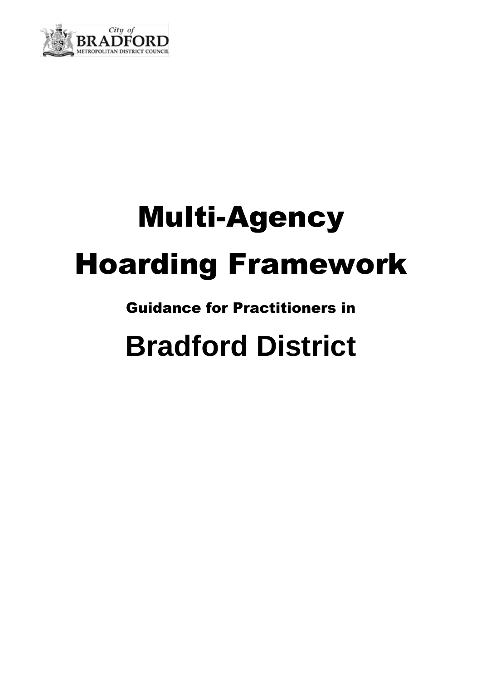

# Multi-Agency Hoarding Framework

# Guidance for Practitioners in

# **Bradford District**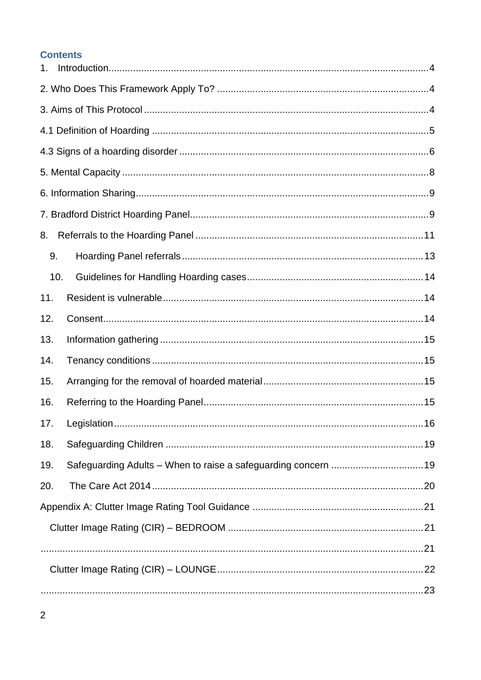## **Contents**

| 1.  |    |  |  |
|-----|----|--|--|
|     |    |  |  |
|     |    |  |  |
|     |    |  |  |
|     |    |  |  |
|     |    |  |  |
|     |    |  |  |
|     |    |  |  |
| 8.  |    |  |  |
| 9.  |    |  |  |
| 10. |    |  |  |
| 11. |    |  |  |
| 12. |    |  |  |
| 13. |    |  |  |
| 14. |    |  |  |
| 15. |    |  |  |
| 16. |    |  |  |
| 17. | 16 |  |  |
| 18. |    |  |  |
| 19. |    |  |  |
| 20. |    |  |  |
|     |    |  |  |
|     |    |  |  |
|     |    |  |  |
|     |    |  |  |
|     |    |  |  |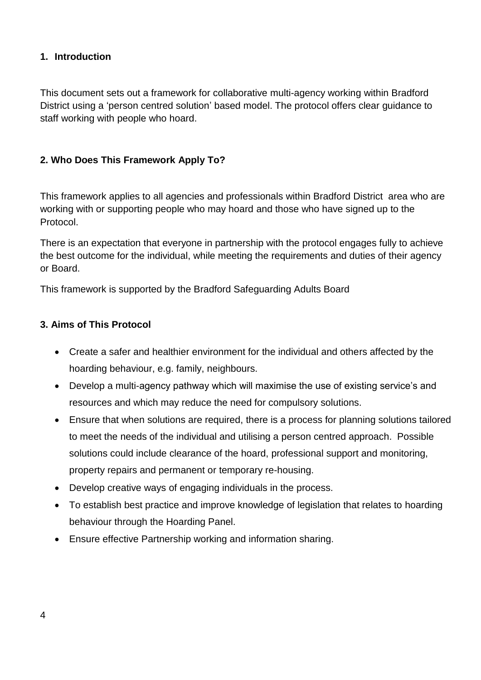#### <span id="page-3-0"></span>**1. Introduction**

This document sets out a framework for collaborative multi-agency working within Bradford District using a 'person centred solution' based model. The protocol offers clear guidance to staff working with people who hoard.

## <span id="page-3-1"></span>**2. Who Does This Framework Apply To?**

This framework applies to all agencies and professionals within Bradford District area who are working with or supporting people who may hoard and those who have signed up to the Protocol.

There is an expectation that everyone in partnership with the protocol engages fully to achieve the best outcome for the individual, while meeting the requirements and duties of their agency or Board.

This framework is supported by the Bradford Safeguarding Adults Board

## <span id="page-3-2"></span>**3. Aims of This Protocol**

- Create a safer and healthier environment for the individual and others affected by the hoarding behaviour, e.g. family, neighbours.
- Develop a multi-agency pathway which will maximise the use of existing service's and resources and which may reduce the need for compulsory solutions.
- Ensure that when solutions are required, there is a process for planning solutions tailored to meet the needs of the individual and utilising a person centred approach. Possible solutions could include clearance of the hoard, professional support and monitoring, property repairs and permanent or temporary re-housing.
- Develop creative ways of engaging individuals in the process.
- To establish best practice and improve knowledge of legislation that relates to hoarding behaviour through the Hoarding Panel.
- Ensure effective Partnership working and information sharing.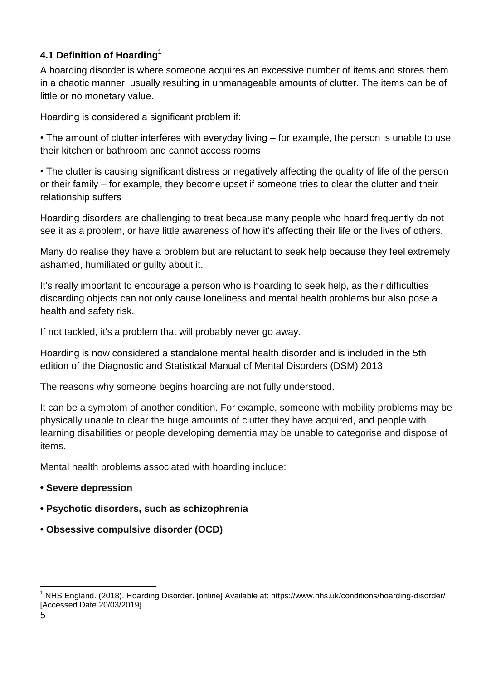## <span id="page-4-0"></span>**4.1 Definition of Hoarding<sup>1</sup>**

A hoarding disorder is where someone acquires an excessive number of items and stores them in a chaotic manner, usually resulting in unmanageable amounts of clutter. The items can be of little or no monetary value.

Hoarding is considered a significant problem if:

• The amount of clutter interferes with everyday living – for example, the person is unable to use their kitchen or bathroom and cannot access rooms

• The clutter is causing significant distress or negatively affecting the quality of life of the person or their family – for example, they become upset if someone tries to clear the clutter and their relationship suffers

Hoarding disorders are challenging to treat because many people who hoard frequently do not see it as a problem, or have little awareness of how it's affecting their life or the lives of others.

Many do realise they have a problem but are reluctant to seek help because they feel extremely ashamed, humiliated or guilty about it.

It's really important to encourage a person who is hoarding to seek help, as their difficulties discarding objects can not only cause loneliness and mental health problems but also pose a health and safety risk.

If not tackled, it's a problem that will probably never go away.

Hoarding is now considered a standalone mental health disorder and is included in the 5th edition of the Diagnostic and Statistical Manual of Mental Disorders (DSM) 2013

The reasons why someone begins hoarding are not fully understood.

It can be a symptom of another condition. For example, someone with mobility problems may be physically unable to clear the huge amounts of clutter they have acquired, and people with learning disabilities or people developing dementia may be unable to categorise and dispose of items.

Mental health problems associated with hoarding include:

- **• Severe depression**
- **• Psychotic disorders, such as schizophrenia**
- **• Obsessive compulsive disorder (OCD)**

l <sup>1</sup> NHS England. (2018). Hoarding Disorder. [online] Available at: https://www.nhs.uk/conditions/hoarding-disorder/ [Accessed Date 20/03/2019].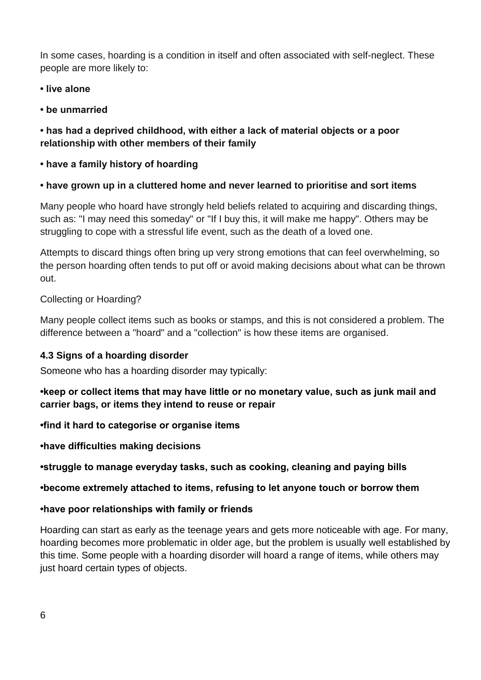In some cases, hoarding is a condition in itself and often associated with self-neglect. These people are more likely to:

**• live alone** 

**• be unmarried** 

**• has had a deprived childhood, with either a lack of material objects or a poor relationship with other members of their family** 

**• have a family history of hoarding** 

## **• have grown up in a cluttered home and never learned to prioritise and sort items**

Many people who hoard have strongly held beliefs related to acquiring and discarding things, such as: "I may need this someday" or "If I buy this, it will make me happy". Others may be struggling to cope with a stressful life event, such as the death of a loved one.

Attempts to discard things often bring up very strong emotions that can feel overwhelming, so the person hoarding often tends to put off or avoid making decisions about what can be thrown out.

## Collecting or Hoarding?

Many people collect items such as books or stamps, and this is not considered a problem. The difference between a "hoard" and a "collection" is how these items are organised.

## <span id="page-5-0"></span>**4.3 Signs of a hoarding disorder**

Someone who has a hoarding disorder may typically:

## **•keep or collect items that may have little or no monetary value, such as junk mail and carrier bags, or items they intend to reuse or repair**

**•find it hard to categorise or organise items** 

**•have difficulties making decisions** 

**•struggle to manage everyday tasks, such as cooking, cleaning and paying bills** 

## **•become extremely attached to items, refusing to let anyone touch or borrow them**

## **•have poor relationships with family or friends**

Hoarding can start as early as the teenage years and gets more noticeable with age. For many, hoarding becomes more problematic in older age, but the problem is usually well established by this time. Some people with a hoarding disorder will hoard a range of items, while others may just hoard certain types of objects.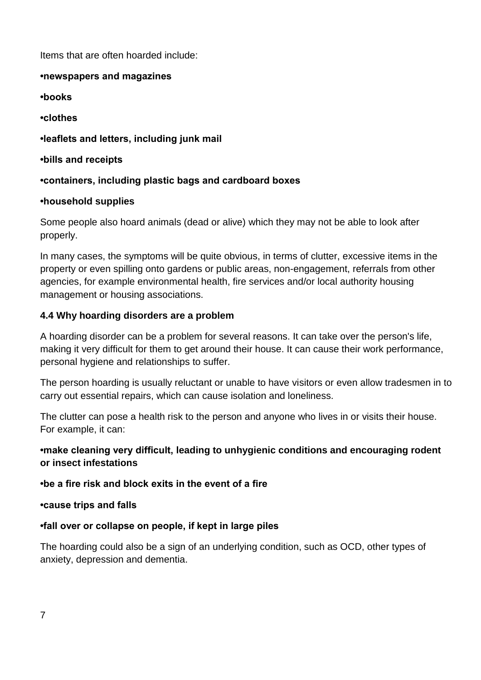Items that are often hoarded include:

#### **•newspapers and magazines**

**•books** 

**•clothes** 

## **•leaflets and letters, including junk mail**

**•bills and receipts** 

## **•containers, including plastic bags and cardboard boxes**

## **•household supplies**

Some people also hoard animals (dead or alive) which they may not be able to look after properly.

In many cases, the symptoms will be quite obvious, in terms of clutter, excessive items in the property or even spilling onto gardens or public areas, non-engagement, referrals from other agencies, for example environmental health, fire services and/or local authority housing management or housing associations.

## **4.4 Why hoarding disorders are a problem**

A hoarding disorder can be a problem for several reasons. It can take over the person's life, making it very difficult for them to get around their house. It can cause their work performance, personal hygiene and relationships to suffer.

The person hoarding is usually reluctant or unable to have visitors or even allow tradesmen in to carry out essential repairs, which can cause isolation and loneliness.

The clutter can pose a health risk to the person and anyone who lives in or visits their house. For example, it can:

## **•make cleaning very difficult, leading to unhygienic conditions and encouraging rodent or insect infestations**

## **•be a fire risk and block exits in the event of a fire**

**•cause trips and falls**

## **•fall over or collapse on people, if kept in large piles**

The hoarding could also be a sign of an underlying condition, such as OCD, other types of anxiety, depression and dementia.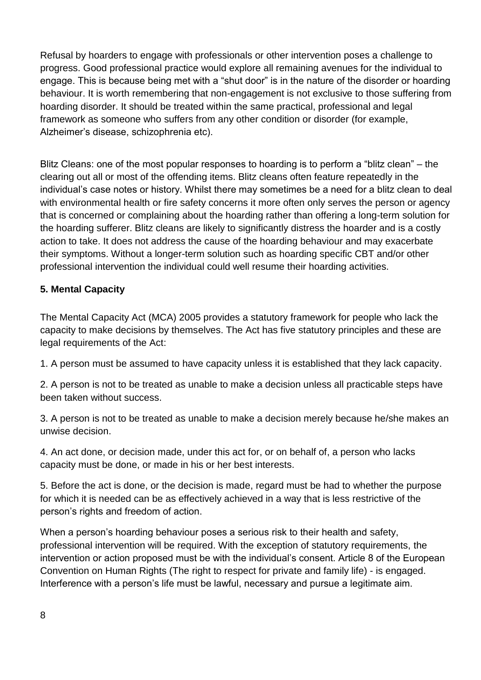Refusal by hoarders to engage with professionals or other intervention poses a challenge to progress. Good professional practice would explore all remaining avenues for the individual to engage. This is because being met with a "shut door" is in the nature of the disorder or hoarding behaviour. It is worth remembering that non-engagement is not exclusive to those suffering from hoarding disorder. It should be treated within the same practical, professional and legal framework as someone who suffers from any other condition or disorder (for example, Alzheimer's disease, schizophrenia etc).

Blitz Cleans: one of the most popular responses to hoarding is to perform a "blitz clean" – the clearing out all or most of the offending items. Blitz cleans often feature repeatedly in the individual's case notes or history. Whilst there may sometimes be a need for a blitz clean to deal with environmental health or fire safety concerns it more often only serves the person or agency that is concerned or complaining about the hoarding rather than offering a long-term solution for the hoarding sufferer. Blitz cleans are likely to significantly distress the hoarder and is a costly action to take. It does not address the cause of the hoarding behaviour and may exacerbate their symptoms. Without a longer-term solution such as hoarding specific CBT and/or other professional intervention the individual could well resume their hoarding activities.

## <span id="page-7-0"></span>**5. Mental Capacity**

The Mental Capacity Act (MCA) 2005 provides a statutory framework for people who lack the capacity to make decisions by themselves. The Act has five statutory principles and these are legal requirements of the Act:

1. A person must be assumed to have capacity unless it is established that they lack capacity.

2. A person is not to be treated as unable to make a decision unless all practicable steps have been taken without success.

3. A person is not to be treated as unable to make a decision merely because he/she makes an unwise decision.

4. An act done, or decision made, under this act for, or on behalf of, a person who lacks capacity must be done, or made in his or her best interests.

5. Before the act is done, or the decision is made, regard must be had to whether the purpose for which it is needed can be as effectively achieved in a way that is less restrictive of the person's rights and freedom of action.

When a person's hoarding behaviour poses a serious risk to their health and safety, professional intervention will be required. With the exception of statutory requirements, the intervention or action proposed must be with the individual's consent. Article 8 of the European Convention on Human Rights (The right to respect for private and family life) - is engaged. Interference with a person's life must be lawful, necessary and pursue a legitimate aim.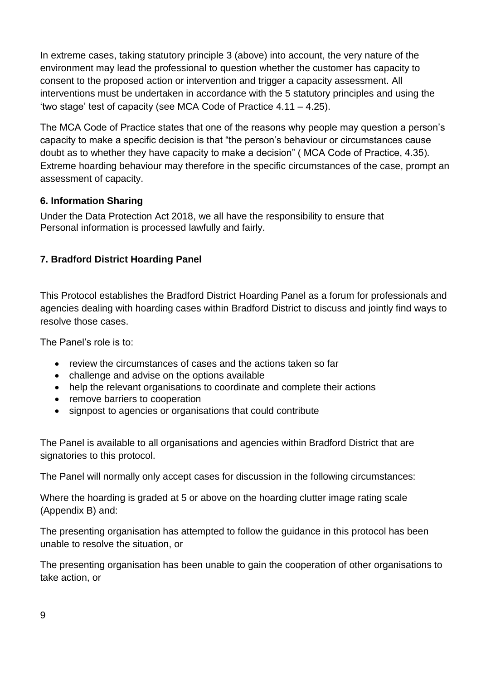In extreme cases, taking statutory principle 3 (above) into account, the very nature of the environment may lead the professional to question whether the customer has capacity to consent to the proposed action or intervention and trigger a capacity assessment. All interventions must be undertaken in accordance with the 5 statutory principles and using the 'two stage' test of capacity (see MCA Code of Practice 4.11 – 4.25).

The MCA Code of Practice states that one of the reasons why people may question a person's capacity to make a specific decision is that "the person's behaviour or circumstances cause doubt as to whether they have capacity to make a decision" ( MCA Code of Practice, 4.35). Extreme hoarding behaviour may therefore in the specific circumstances of the case, prompt an assessment of capacity.

## <span id="page-8-0"></span>**6. Information Sharing**

Under the Data Protection Act 2018, we all have the responsibility to ensure that Personal information is processed lawfully and fairly.

## <span id="page-8-1"></span>**7. Bradford District Hoarding Panel**

This Protocol establishes the Bradford District Hoarding Panel as a forum for professionals and agencies dealing with hoarding cases within Bradford District to discuss and jointly find ways to resolve those cases.

The Panel's role is to:

- review the circumstances of cases and the actions taken so far
- challenge and advise on the options available
- help the relevant organisations to coordinate and complete their actions
- remove barriers to cooperation
- signpost to agencies or organisations that could contribute

The Panel is available to all organisations and agencies within Bradford District that are signatories to this protocol.

The Panel will normally only accept cases for discussion in the following circumstances:

Where the hoarding is graded at 5 or above on the hoarding clutter image rating scale (Appendix B) and:

The presenting organisation has attempted to follow the guidance in this protocol has been unable to resolve the situation, or

The presenting organisation has been unable to gain the cooperation of other organisations to take action, or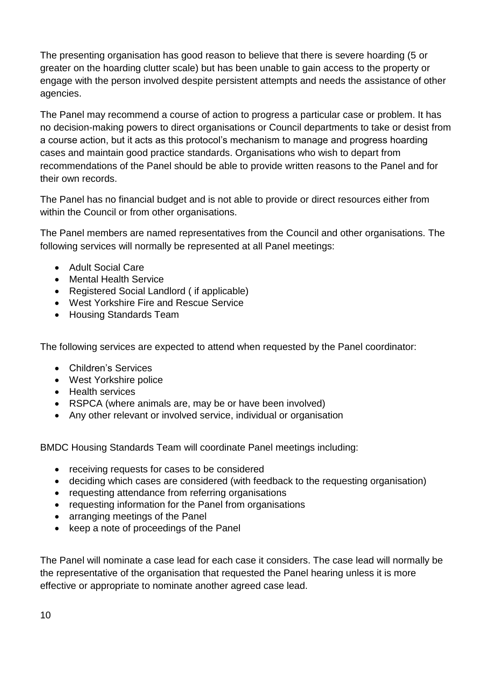The presenting organisation has good reason to believe that there is severe hoarding (5 or greater on the hoarding clutter scale) but has been unable to gain access to the property or engage with the person involved despite persistent attempts and needs the assistance of other agencies.

The Panel may recommend a course of action to progress a particular case or problem. It has no decision-making powers to direct organisations or Council departments to take or desist from a course action, but it acts as this protocol's mechanism to manage and progress hoarding cases and maintain good practice standards. Organisations who wish to depart from recommendations of the Panel should be able to provide written reasons to the Panel and for their own records.

The Panel has no financial budget and is not able to provide or direct resources either from within the Council or from other organisations.

The Panel members are named representatives from the Council and other organisations. The following services will normally be represented at all Panel meetings:

- Adult Social Care
- Mental Health Service
- Registered Social Landlord ( if applicable)
- West Yorkshire Fire and Rescue Service
- Housing Standards Team

The following services are expected to attend when requested by the Panel coordinator:

- Children's Services
- West Yorkshire police
- Health services
- RSPCA (where animals are, may be or have been involved)
- Any other relevant or involved service, individual or organisation

BMDC Housing Standards Team will coordinate Panel meetings including:

- receiving requests for cases to be considered
- deciding which cases are considered (with feedback to the requesting organisation)
- requesting attendance from referring organisations
- requesting information for the Panel from organisations
- arranging meetings of the Panel
- keep a note of proceedings of the Panel

The Panel will nominate a case lead for each case it considers. The case lead will normally be the representative of the organisation that requested the Panel hearing unless it is more effective or appropriate to nominate another agreed case lead.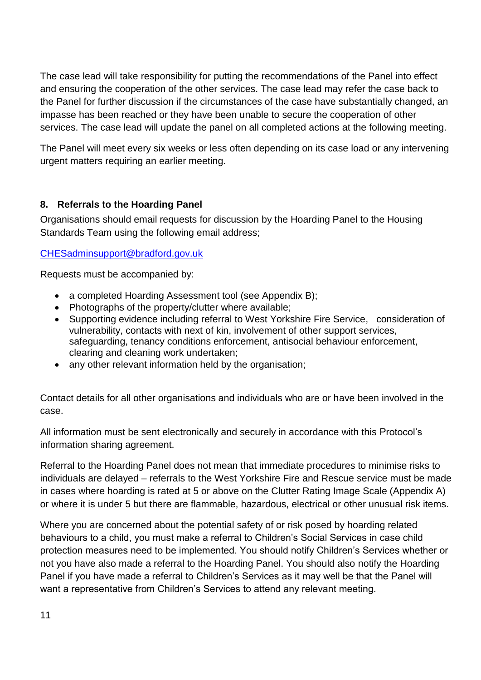The case lead will take responsibility for putting the recommendations of the Panel into effect and ensuring the cooperation of the other services. The case lead may refer the case back to the Panel for further discussion if the circumstances of the case have substantially changed, an impasse has been reached or they have been unable to secure the cooperation of other services. The case lead will update the panel on all completed actions at the following meeting.

The Panel will meet every six weeks or less often depending on its case load or any intervening urgent matters requiring an earlier meeting.

## <span id="page-10-0"></span>**8. Referrals to the Hoarding Panel**

Organisations should email requests for discussion by the Hoarding Panel to the Housing Standards Team using the following email address;

#### [CHESadminsupport@bradford.gov.uk](mailto:CHESadminsupport@bradford.gov.uk)

Requests must be accompanied by:

- a completed Hoarding Assessment tool (see Appendix B);
- Photographs of the property/clutter where available;
- Supporting evidence including referral to West Yorkshire Fire Service, consideration of vulnerability, contacts with next of kin, involvement of other support services, safeguarding, tenancy conditions enforcement, antisocial behaviour enforcement, clearing and cleaning work undertaken;
- any other relevant information held by the organisation;

Contact details for all other organisations and individuals who are or have been involved in the case.

All information must be sent electronically and securely in accordance with this Protocol's information sharing agreement.

Referral to the Hoarding Panel does not mean that immediate procedures to minimise risks to individuals are delayed – referrals to the West Yorkshire Fire and Rescue service must be made in cases where hoarding is rated at 5 or above on the Clutter Rating Image Scale (Appendix A) or where it is under 5 but there are flammable, hazardous, electrical or other unusual risk items.

Where you are concerned about the potential safety of or risk posed by hoarding related behaviours to a child, you must make a referral to Children's Social Services in case child protection measures need to be implemented. You should notify Children's Services whether or not you have also made a referral to the Hoarding Panel. You should also notify the Hoarding Panel if you have made a referral to Children's Services as it may well be that the Panel will want a representative from Children's Services to attend any relevant meeting.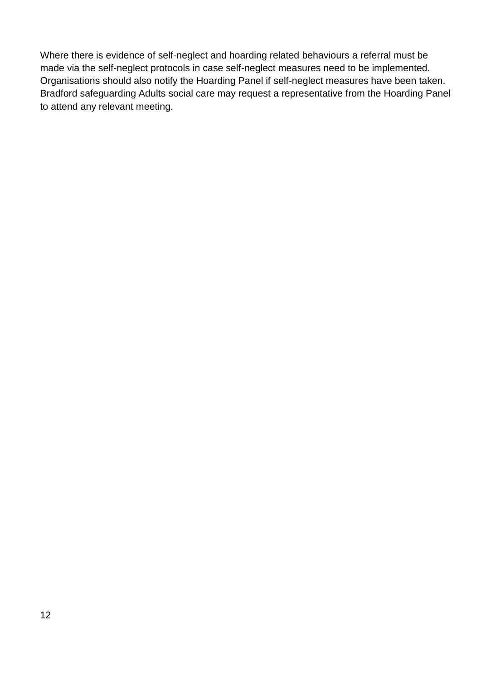Where there is evidence of self-neglect and hoarding related behaviours a referral must be made via the self-neglect protocols in case self-neglect measures need to be implemented. Organisations should also notify the Hoarding Panel if self-neglect measures have been taken. Bradford safeguarding Adults social care may request a representative from the Hoarding Panel to attend any relevant meeting.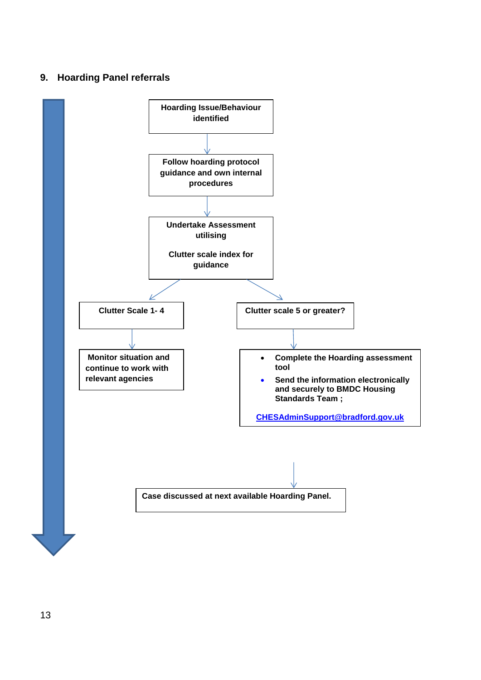#### <span id="page-12-0"></span>**9. Hoarding Panel referrals**

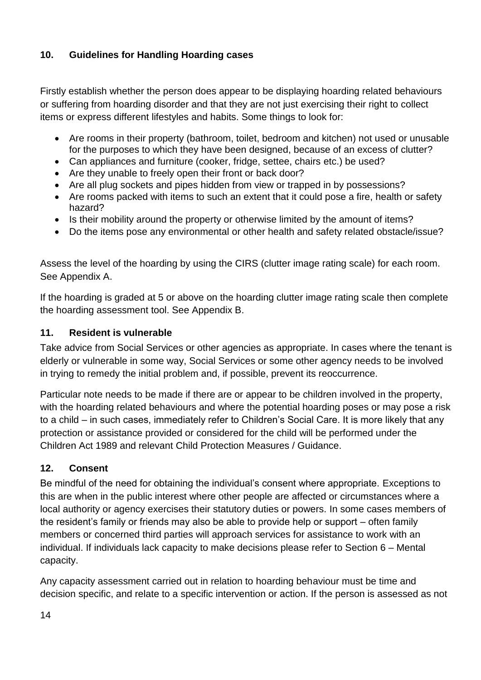## <span id="page-13-0"></span>**10. Guidelines for Handling Hoarding cases**

Firstly establish whether the person does appear to be displaying hoarding related behaviours or suffering from hoarding disorder and that they are not just exercising their right to collect items or express different lifestyles and habits. Some things to look for:

- Are rooms in their property (bathroom, toilet, bedroom and kitchen) not used or unusable for the purposes to which they have been designed, because of an excess of clutter?
- Can appliances and furniture (cooker, fridge, settee, chairs etc.) be used?
- Are they unable to freely open their front or back door?
- Are all plug sockets and pipes hidden from view or trapped in by possessions?
- Are rooms packed with items to such an extent that it could pose a fire, health or safety hazard?
- Is their mobility around the property or otherwise limited by the amount of items?
- Do the items pose any environmental or other health and safety related obstacle/issue?

Assess the level of the hoarding by using the CIRS (clutter image rating scale) for each room. See Appendix A.

If the hoarding is graded at 5 or above on the hoarding clutter image rating scale then complete the hoarding assessment tool. See Appendix B.

#### <span id="page-13-1"></span>**11. Resident is vulnerable**

Take advice from Social Services or other agencies as appropriate. In cases where the tenant is elderly or vulnerable in some way, Social Services or some other agency needs to be involved in trying to remedy the initial problem and, if possible, prevent its reoccurrence.

Particular note needs to be made if there are or appear to be children involved in the property, with the hoarding related behaviours and where the potential hoarding poses or may pose a risk to a child – in such cases, immediately refer to Children's Social Care. It is more likely that any protection or assistance provided or considered for the child will be performed under the Children Act 1989 and relevant Child Protection Measures / Guidance.

## <span id="page-13-2"></span>**12. Consent**

Be mindful of the need for obtaining the individual's consent where appropriate. Exceptions to this are when in the public interest where other people are affected or circumstances where a local authority or agency exercises their statutory duties or powers. In some cases members of the resident's family or friends may also be able to provide help or support – often family members or concerned third parties will approach services for assistance to work with an individual. If individuals lack capacity to make decisions please refer to Section 6 – Mental capacity.

Any capacity assessment carried out in relation to hoarding behaviour must be time and decision specific, and relate to a specific intervention or action. If the person is assessed as not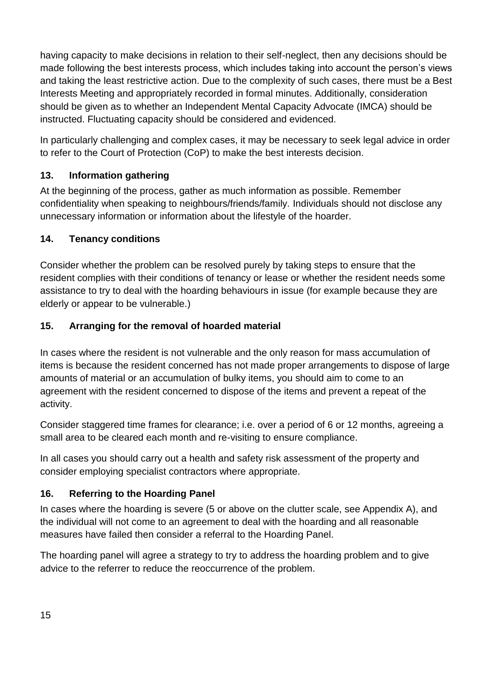having capacity to make decisions in relation to their self-neglect, then any decisions should be made following the best interests process, which includes taking into account the person's views and taking the least restrictive action. Due to the complexity of such cases, there must be a Best Interests Meeting and appropriately recorded in formal minutes. Additionally, consideration should be given as to whether an Independent Mental Capacity Advocate (IMCA) should be instructed. Fluctuating capacity should be considered and evidenced.

In particularly challenging and complex cases, it may be necessary to seek legal advice in order to refer to the Court of Protection (CoP) to make the best interests decision.

## <span id="page-14-0"></span>**13. Information gathering**

At the beginning of the process, gather as much information as possible. Remember confidentiality when speaking to neighbours/friends/family. Individuals should not disclose any unnecessary information or information about the lifestyle of the hoarder.

## <span id="page-14-1"></span>**14. Tenancy conditions**

Consider whether the problem can be resolved purely by taking steps to ensure that the resident complies with their conditions of tenancy or lease or whether the resident needs some assistance to try to deal with the hoarding behaviours in issue (for example because they are elderly or appear to be vulnerable.)

## <span id="page-14-2"></span>**15. Arranging for the removal of hoarded material**

In cases where the resident is not vulnerable and the only reason for mass accumulation of items is because the resident concerned has not made proper arrangements to dispose of large amounts of material or an accumulation of bulky items, you should aim to come to an agreement with the resident concerned to dispose of the items and prevent a repeat of the activity.

Consider staggered time frames for clearance; i.e. over a period of 6 or 12 months, agreeing a small area to be cleared each month and re-visiting to ensure compliance.

In all cases you should carry out a health and safety risk assessment of the property and consider employing specialist contractors where appropriate.

## <span id="page-14-3"></span>**16. Referring to the Hoarding Panel**

In cases where the hoarding is severe (5 or above on the clutter scale, see Appendix A), and the individual will not come to an agreement to deal with the hoarding and all reasonable measures have failed then consider a referral to the Hoarding Panel.

The hoarding panel will agree a strategy to try to address the hoarding problem and to give advice to the referrer to reduce the reoccurrence of the problem.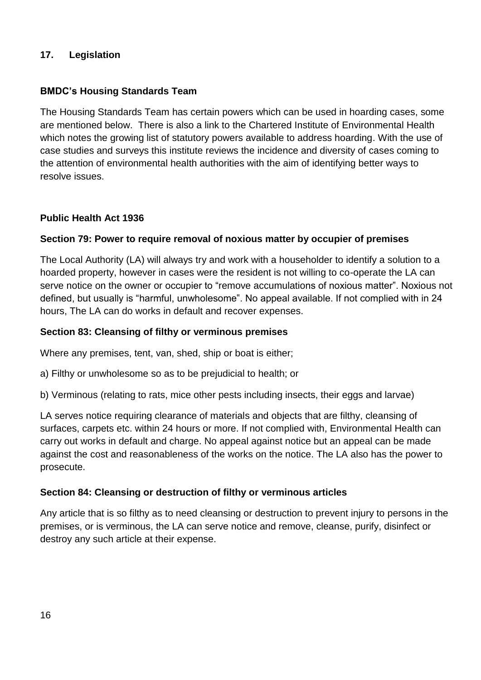#### <span id="page-15-0"></span>**17. Legislation**

#### **BMDC's Housing Standards Team**

The Housing Standards Team has certain powers which can be used in hoarding cases, some are mentioned below. There is also a link to the Chartered Institute of Environmental Health which notes the growing list of statutory powers available to address hoarding. With the use of case studies and surveys this institute reviews the incidence and diversity of cases coming to the attention of environmental health authorities with the aim of identifying better ways to resolve issues.

#### **Public Health Act 1936**

#### **Section 79: Power to require removal of noxious matter by occupier of premises**

The Local Authority (LA) will always try and work with a householder to identify a solution to a hoarded property, however in cases were the resident is not willing to co-operate the LA can serve notice on the owner or occupier to "remove accumulations of noxious matter". Noxious not defined, but usually is "harmful, unwholesome". No appeal available. If not complied with in 24 hours, The LA can do works in default and recover expenses.

#### **Section 83: Cleansing of filthy or verminous premises**

Where any premises, tent, van, shed, ship or boat is either;

a) Filthy or unwholesome so as to be prejudicial to health; or

b) Verminous (relating to rats, mice other pests including insects, their eggs and larvae)

LA serves notice requiring clearance of materials and objects that are filthy, cleansing of surfaces, carpets etc. within 24 hours or more. If not complied with, Environmental Health can carry out works in default and charge. No appeal against notice but an appeal can be made against the cost and reasonableness of the works on the notice. The LA also has the power to prosecute.

#### **Section 84: Cleansing or destruction of filthy or verminous articles**

Any article that is so filthy as to need cleansing or destruction to prevent injury to persons in the premises, or is verminous, the LA can serve notice and remove, cleanse, purify, disinfect or destroy any such article at their expense.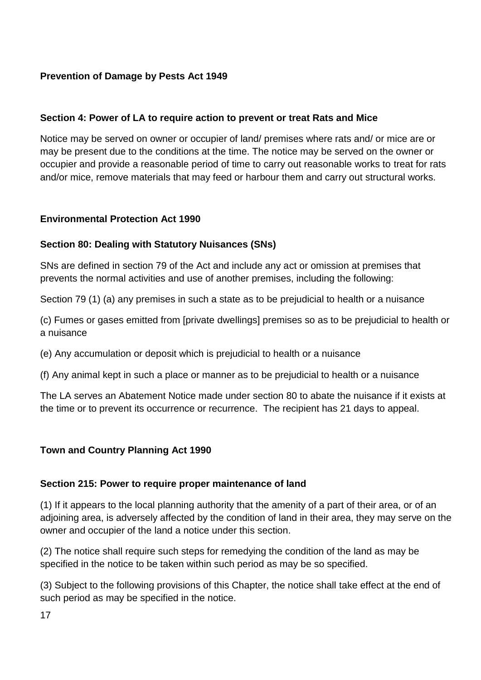## **Prevention of Damage by Pests Act 1949**

#### **Section 4: Power of LA to require action to prevent or treat Rats and Mice**

Notice may be served on owner or occupier of land/ premises where rats and/ or mice are or may be present due to the conditions at the time. The notice may be served on the owner or occupier and provide a reasonable period of time to carry out reasonable works to treat for rats and/or mice, remove materials that may feed or harbour them and carry out structural works.

#### **Environmental Protection Act 1990**

#### **Section 80: Dealing with Statutory Nuisances (SNs)**

SNs are defined in section 79 of the Act and include any act or omission at premises that prevents the normal activities and use of another premises, including the following:

Section 79 (1) (a) any premises in such a state as to be prejudicial to health or a nuisance

(c) Fumes or gases emitted from [private dwellings] premises so as to be prejudicial to health or a nuisance

(e) Any accumulation or deposit which is prejudicial to health or a nuisance

(f) Any animal kept in such a place or manner as to be prejudicial to health or a nuisance

The LA serves an Abatement Notice made under section 80 to abate the nuisance if it exists at the time or to prevent its occurrence or recurrence. The recipient has 21 days to appeal.

#### **Town and Country Planning Act 1990**

#### **Section 215: Power to require proper maintenance of land**

(1) If it appears to the local planning authority that the amenity of a part of their area, or of an adjoining area, is adversely affected by the condition of land in their area, they may serve on the owner and occupier of the land a notice under this section.

(2) The notice shall require such steps for remedying the condition of the land as may be specified in the notice to be taken within such period as may be so specified.

(3) Subject to the following provisions of this Chapter, the notice shall take effect at the end of such period as may be specified in the notice.

17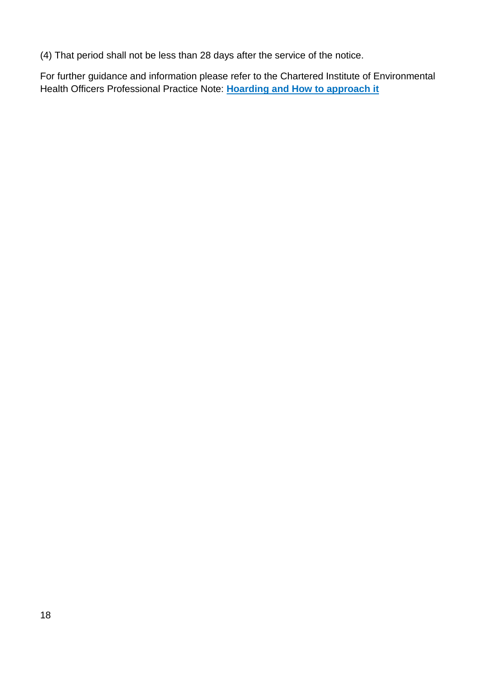(4) That period shall not be less than 28 days after the service of the notice.

For further guidance and information please refer to the Chartered Institute of Environmental Health Officers Professional Practice Note: **[Hoarding and How to approach it](https://www.cieh.org/media/1248/hoarding-and-how-to-approach-it-guidance-for-environmental-health-officers-and-others.pdf)**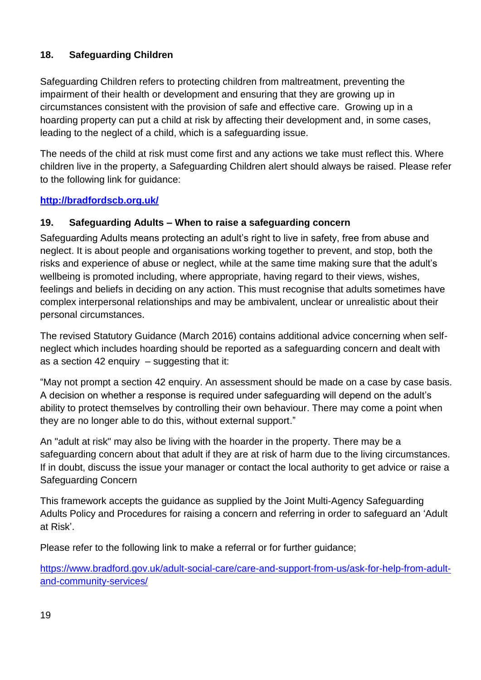## <span id="page-18-0"></span>**18. Safeguarding Children**

Safeguarding Children refers to protecting children from maltreatment, preventing the impairment of their health or development and ensuring that they are growing up in circumstances consistent with the provision of safe and effective care. Growing up in a hoarding property can put a child at risk by affecting their development and, in some cases, leading to the neglect of a child, which is a safeguarding issue.

The needs of the child at risk must come first and any actions we take must reflect this. Where children live in the property, a Safeguarding Children alert should always be raised. Please refer to the following link for guidance:

## **<http://bradfordscb.org.uk/>**

## <span id="page-18-1"></span>**19. Safeguarding Adults – When to raise a safeguarding concern**

Safeguarding Adults means protecting an adult's right to live in safety, free from abuse and neglect. It is about people and organisations working together to prevent, and stop, both the risks and experience of abuse or neglect, while at the same time making sure that the adult's wellbeing is promoted including, where appropriate, having regard to their views, wishes, feelings and beliefs in deciding on any action. This must recognise that adults sometimes have complex interpersonal relationships and may be ambivalent, unclear or unrealistic about their personal circumstances.

The revised Statutory Guidance (March 2016) contains additional advice concerning when selfneglect which includes hoarding should be reported as a safeguarding concern and dealt with as a section 42 enquiry  $-$  suggesting that it:

"May not prompt a section 42 enquiry. An assessment should be made on a case by case basis. A decision on whether a response is required under safeguarding will depend on the adult's ability to protect themselves by controlling their own behaviour. There may come a point when they are no longer able to do this, without external support."

An "adult at risk" may also be living with the hoarder in the property. There may be a safeguarding concern about that adult if they are at risk of harm due to the living circumstances. If in doubt, discuss the issue your manager or contact the local authority to get advice or raise a Safeguarding Concern

This framework accepts the guidance as supplied by the Joint Multi-Agency Safeguarding Adults Policy and Procedures for raising a concern and referring in order to safeguard an 'Adult at Risk'.

Please refer to the following link to make a referral or for further guidance;

[https://www.bradford.gov.uk/adult-social-care/care-and-support-from-us/ask-for-help-from-adult](https://www.bradford.gov.uk/adult-social-care/care-and-support-from-us/ask-for-help-from-adult-and-community-services/)[and-community-services/](https://www.bradford.gov.uk/adult-social-care/care-and-support-from-us/ask-for-help-from-adult-and-community-services/)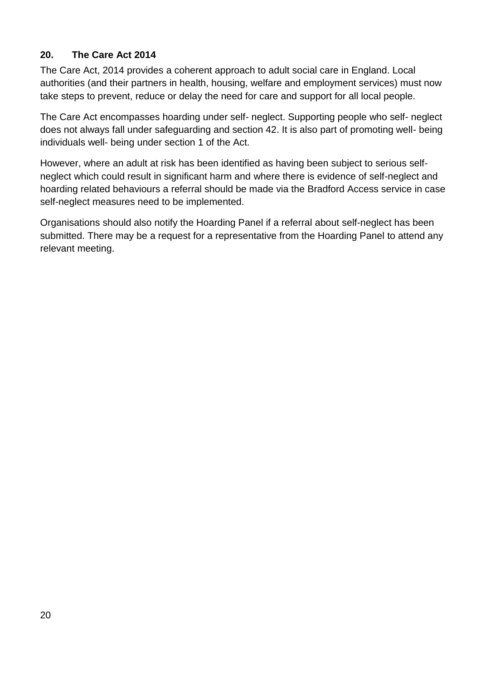## <span id="page-19-0"></span>**20. The Care Act 2014**

The Care Act, 2014 provides a coherent approach to adult social care in England. Local authorities (and their partners in health, housing, welfare and employment services) must now take steps to prevent, reduce or delay the need for care and support for all local people.

The Care Act encompasses hoarding under self- neglect. Supporting people who self- neglect does not always fall under safeguarding and section 42. It is also part of promoting well- being individuals well- being under section 1 of the Act.

However, where an adult at risk has been identified as having been subject to serious selfneglect which could result in significant harm and where there is evidence of self-neglect and hoarding related behaviours a referral should be made via the Bradford Access service in case self-neglect measures need to be implemented.

Organisations should also notify the Hoarding Panel if a referral about self-neglect has been submitted. There may be a request for a representative from the Hoarding Panel to attend any relevant meeting.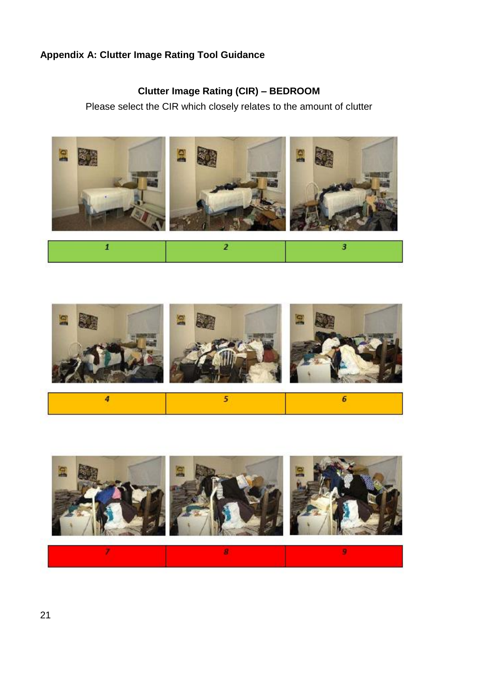## <span id="page-20-1"></span><span id="page-20-0"></span>**Appendix A: Clutter Image Rating Tool Guidance**

# **Clutter Image Rating (CIR) – BEDROOM**

Please select the CIR which closely relates to the amount of clutter





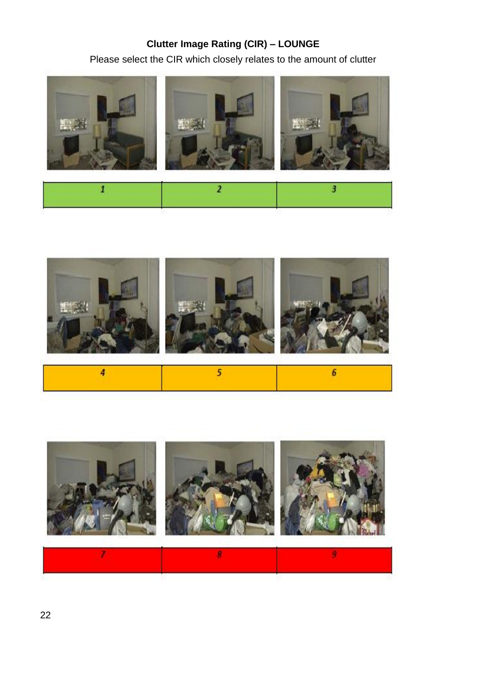# **Clutter Image Rating (CIR) – LOUNGE**

Please select the CIR which closely relates to the amount of clutter







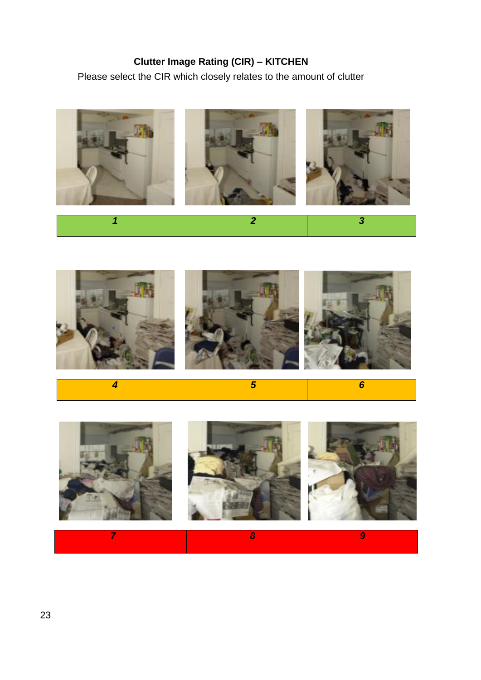# **Clutter Image Rating (CIR) – KITCHEN**

<span id="page-22-0"></span>Please select the CIR which closely relates to the amount of clutter





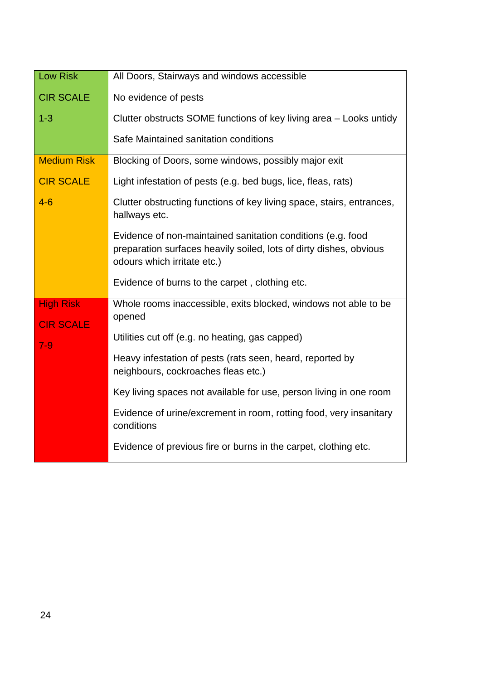| Low Risk                             | All Doors, Stairways and windows accessible                                                                                                                      |
|--------------------------------------|------------------------------------------------------------------------------------------------------------------------------------------------------------------|
| <b>CIR SCALE</b>                     | No evidence of pests                                                                                                                                             |
| $1 - 3$                              | Clutter obstructs SOME functions of key living area - Looks untidy                                                                                               |
|                                      | Safe Maintained sanitation conditions                                                                                                                            |
| <b>Medium Risk</b>                   | Blocking of Doors, some windows, possibly major exit                                                                                                             |
| <b>CIR SCALE</b>                     | Light infestation of pests (e.g. bed bugs, lice, fleas, rats)                                                                                                    |
| $4 - 6$                              | Clutter obstructing functions of key living space, stairs, entrances,<br>hallways etc.                                                                           |
|                                      | Evidence of non-maintained sanitation conditions (e.g. food<br>preparation surfaces heavily soiled, lots of dirty dishes, obvious<br>odours which irritate etc.) |
|                                      | Evidence of burns to the carpet, clothing etc.                                                                                                                   |
| <b>High Risk</b><br><b>CIR SCALE</b> | Whole rooms inaccessible, exits blocked, windows not able to be<br>opened                                                                                        |
| $7 - 9$                              | Utilities cut off (e.g. no heating, gas capped)                                                                                                                  |
|                                      | Heavy infestation of pests (rats seen, heard, reported by<br>neighbours, cockroaches fleas etc.)                                                                 |
|                                      | Key living spaces not available for use, person living in one room                                                                                               |
|                                      | Evidence of urine/excrement in room, rotting food, very insanitary<br>conditions                                                                                 |
|                                      | Evidence of previous fire or burns in the carpet, clothing etc.                                                                                                  |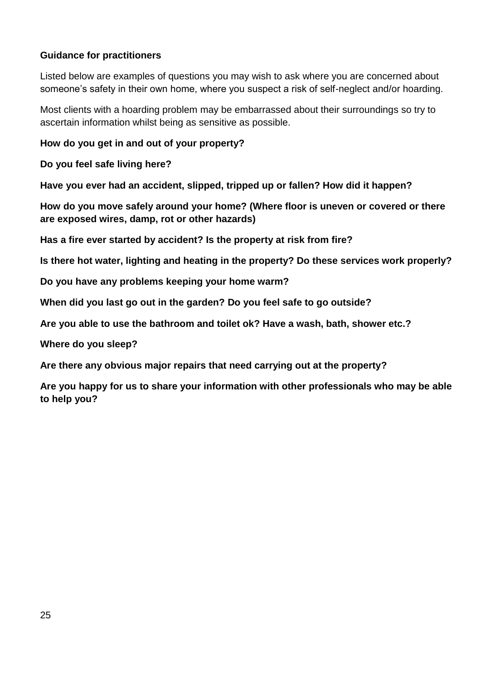#### **Guidance for practitioners**

Listed below are examples of questions you may wish to ask where you are concerned about someone's safety in their own home, where you suspect a risk of self-neglect and/or hoarding.

Most clients with a hoarding problem may be embarrassed about their surroundings so try to ascertain information whilst being as sensitive as possible.

**How do you get in and out of your property?**

**Do you feel safe living here?**

**Have you ever had an accident, slipped, tripped up or fallen? How did it happen?**

**How do you move safely around your home? (Where floor is uneven or covered or there are exposed wires, damp, rot or other hazards)**

**Has a fire ever started by accident? Is the property at risk from fire?**

**Is there hot water, lighting and heating in the property? Do these services work properly?**

**Do you have any problems keeping your home warm?**

**When did you last go out in the garden? Do you feel safe to go outside?**

**Are you able to use the bathroom and toilet ok? Have a wash, bath, shower etc.?**

**Where do you sleep?** 

**Are there any obvious major repairs that need carrying out at the property?**

**Are you happy for us to share your information with other professionals who may be able to help you?**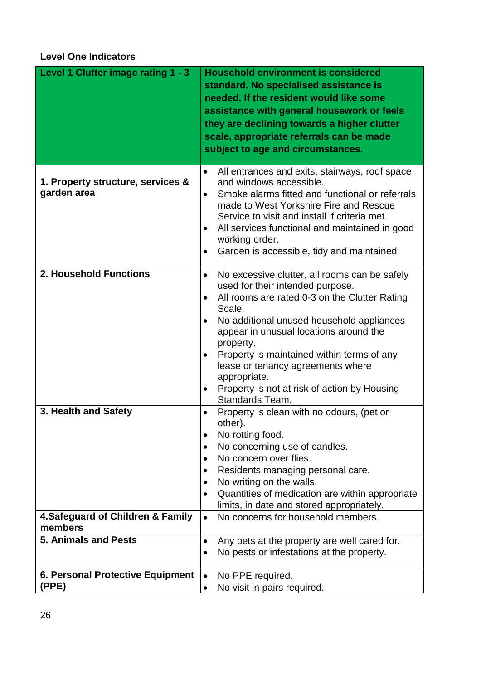## <span id="page-25-0"></span>**Level One Indicators**

| Level 1 Clutter image rating 1 - 3               | <b>Household environment is considered</b><br>standard. No specialised assistance is<br>needed. If the resident would like some<br>assistance with general housework or feels<br>they are declining towards a higher clutter<br>scale, appropriate referrals can be made<br>subject to age and circumstances.                                                                                                                       |
|--------------------------------------------------|-------------------------------------------------------------------------------------------------------------------------------------------------------------------------------------------------------------------------------------------------------------------------------------------------------------------------------------------------------------------------------------------------------------------------------------|
| 1. Property structure, services &<br>garden area | All entrances and exits, stairways, roof space<br>and windows accessible.<br>Smoke alarms fitted and functional or referrals<br>$\bullet$<br>made to West Yorkshire Fire and Rescue<br>Service to visit and install if criteria met.<br>All services functional and maintained in good<br>working order.<br>Garden is accessible, tidy and maintained<br>$\bullet$                                                                  |
| 2. Household Functions                           | No excessive clutter, all rooms can be safely<br>$\bullet$<br>used for their intended purpose.<br>All rooms are rated 0-3 on the Clutter Rating<br>Scale.<br>No additional unused household appliances<br>appear in unusual locations around the<br>property.<br>Property is maintained within terms of any<br>lease or tenancy agreements where<br>appropriate.<br>Property is not at risk of action by Housing<br>Standards Team. |
| 3. Health and Safety                             | Property is clean with no odours, (pet or<br>other).<br>No rotting food.<br>No concerning use of candles.<br>No concern over flies.<br>Residents managing personal care.<br>No writing on the walls.<br>Quantities of medication are within appropriate<br>limits, in date and stored appropriately.                                                                                                                                |
| 4. Safeguard of Children & Family<br>members     | No concerns for household members.<br>$\bullet$                                                                                                                                                                                                                                                                                                                                                                                     |
| <b>5. Animals and Pests</b>                      | Any pets at the property are well cared for.<br>$\bullet$<br>No pests or infestations at the property.<br>$\bullet$                                                                                                                                                                                                                                                                                                                 |
| 6. Personal Protective Equipment<br>(PPE)        | No PPE required.<br>$\bullet$<br>No visit in pairs required.<br>$\bullet$                                                                                                                                                                                                                                                                                                                                                           |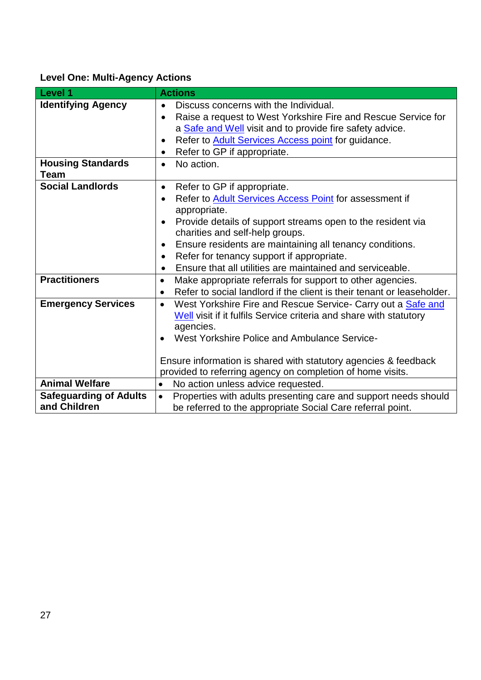# <span id="page-26-0"></span>**Level One: Multi-Agency Actions**

| Level 1                                       | <b>Actions</b>                                                                                                                                                                                                                                                                                                                                                                                                                                              |  |
|-----------------------------------------------|-------------------------------------------------------------------------------------------------------------------------------------------------------------------------------------------------------------------------------------------------------------------------------------------------------------------------------------------------------------------------------------------------------------------------------------------------------------|--|
| <b>Identifying Agency</b>                     | Discuss concerns with the Individual.<br>$\bullet$<br>Raise a request to West Yorkshire Fire and Rescue Service for<br>$\bullet$<br>a <b>Safe and Well</b> visit and to provide fire safety advice.<br>Refer to Adult Services Access point for guidance.<br>$\bullet$<br>Refer to GP if appropriate.<br>$\bullet$                                                                                                                                          |  |
| <b>Housing Standards</b><br><b>Team</b>       | No action.<br>$\bullet$                                                                                                                                                                                                                                                                                                                                                                                                                                     |  |
| <b>Social Landlords</b>                       | Refer to GP if appropriate.<br>$\bullet$<br>Refer to Adult Services Access Point for assessment if<br>$\bullet$<br>appropriate.<br>Provide details of support streams open to the resident via<br>$\bullet$<br>charities and self-help groups.<br>Ensure residents are maintaining all tenancy conditions.<br>$\bullet$<br>Refer for tenancy support if appropriate.<br>$\bullet$<br>Ensure that all utilities are maintained and serviceable.<br>$\bullet$ |  |
| <b>Practitioners</b>                          | Make appropriate referrals for support to other agencies.<br>$\bullet$<br>Refer to social landlord if the client is their tenant or leaseholder.<br>$\bullet$                                                                                                                                                                                                                                                                                               |  |
| <b>Emergency Services</b>                     | West Yorkshire Fire and Rescue Service- Carry out a Safe and<br>$\bullet$<br>Well visit if it fulfils Service criteria and share with statutory<br>agencies.<br>West Yorkshire Police and Ambulance Service-<br>Ensure information is shared with statutory agencies & feedback<br>provided to referring agency on completion of home visits.                                                                                                               |  |
| <b>Animal Welfare</b>                         | No action unless advice requested.<br>$\bullet$                                                                                                                                                                                                                                                                                                                                                                                                             |  |
| <b>Safeguarding of Adults</b><br>and Children | Properties with adults presenting care and support needs should<br>$\bullet$<br>be referred to the appropriate Social Care referral point.                                                                                                                                                                                                                                                                                                                  |  |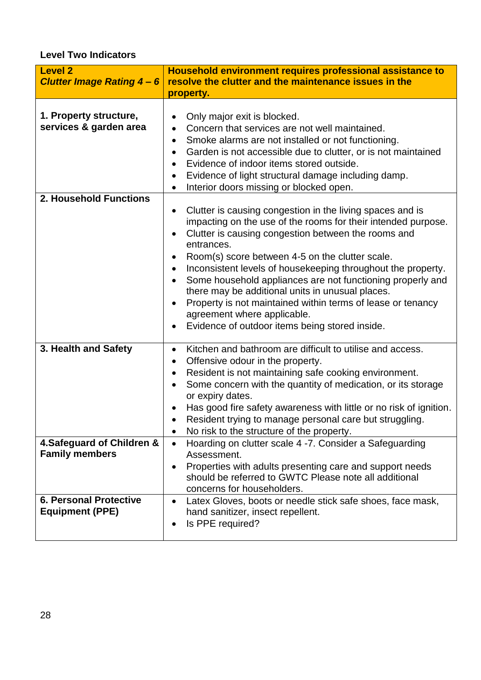## <span id="page-27-0"></span>**Level Two Indicators**

| <b>Level 2</b><br><b>Clutter Image Rating 4-6</b>                           | Household environment requires professional assistance to<br>resolve the clutter and the maintenance issues in the<br>property.                                                                                                                                                                                                                                                                                                                                                                                                                                                                                                                                                                                    |  |
|-----------------------------------------------------------------------------|--------------------------------------------------------------------------------------------------------------------------------------------------------------------------------------------------------------------------------------------------------------------------------------------------------------------------------------------------------------------------------------------------------------------------------------------------------------------------------------------------------------------------------------------------------------------------------------------------------------------------------------------------------------------------------------------------------------------|--|
| 1. Property structure,<br>services & garden area                            | Only major exit is blocked.<br>٠<br>Concern that services are not well maintained.<br>$\bullet$<br>Smoke alarms are not installed or not functioning.<br>$\bullet$<br>Garden is not accessible due to clutter, or is not maintained<br>$\bullet$<br>Evidence of indoor items stored outside.<br>Evidence of light structural damage including damp.<br>$\bullet$<br>Interior doors missing or blocked open.<br>$\bullet$                                                                                                                                                                                                                                                                                           |  |
| 2. Household Functions                                                      | Clutter is causing congestion in the living spaces and is<br>$\bullet$<br>impacting on the use of the rooms for their intended purpose.<br>Clutter is causing congestion between the rooms and<br>$\bullet$<br>entrances.<br>Room(s) score between 4-5 on the clutter scale.<br>$\bullet$<br>Inconsistent levels of housekeeping throughout the property.<br>$\bullet$<br>Some household appliances are not functioning properly and<br>there may be additional units in unusual places.<br>Property is not maintained within terms of lease or tenancy<br>$\bullet$<br>agreement where applicable.<br>Evidence of outdoor items being stored inside.<br>$\bullet$                                                 |  |
| 3. Health and Safety<br>4. Safeguard of Children &<br><b>Family members</b> | Kitchen and bathroom are difficult to utilise and access.<br>$\bullet$<br>Offensive odour in the property.<br>$\bullet$<br>Resident is not maintaining safe cooking environment.<br>$\bullet$<br>Some concern with the quantity of medication, or its storage<br>$\bullet$<br>or expiry dates.<br>Has good fire safety awareness with little or no risk of ignition.<br>Resident trying to manage personal care but struggling.<br>No risk to the structure of the property.<br>$\bullet$<br>Hoarding on clutter scale 4 -7. Consider a Safeguarding<br>$\bullet$<br>Assessment.<br>Properties with adults presenting care and support needs<br>$\bullet$<br>should be referred to GWTC Please note all additional |  |
| <b>6. Personal Protective</b><br><b>Equipment (PPE)</b>                     | concerns for householders.<br>Latex Gloves, boots or needle stick safe shoes, face mask,<br>$\bullet$<br>hand sanitizer, insect repellent.<br>Is PPE required?<br>٠                                                                                                                                                                                                                                                                                                                                                                                                                                                                                                                                                |  |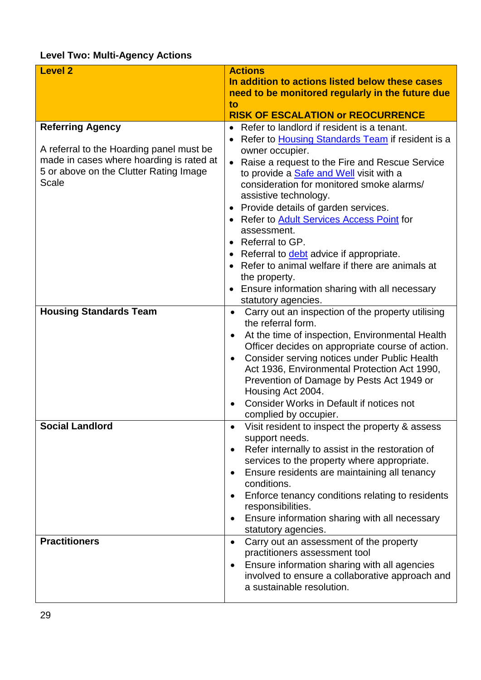# <span id="page-28-0"></span>**Level Two: Multi-Agency Actions**

| <b>Level 2</b>                                  | <b>Actions</b>                                                                               |
|-------------------------------------------------|----------------------------------------------------------------------------------------------|
|                                                 | In addition to actions listed below these cases                                              |
|                                                 | need to be monitored regularly in the future due                                             |
|                                                 | to                                                                                           |
|                                                 | <b>RISK OF ESCALATION or REOCURRENCE</b>                                                     |
| <b>Referring Agency</b>                         | Refer to landlord if resident is a tenant.                                                   |
|                                                 | Refer to <b>Housing Standards Team</b> if resident is a<br>$\bullet$                         |
| A referral to the Hoarding panel must be        | owner occupier.                                                                              |
| made in cases where hoarding is rated at        | Raise a request to the Fire and Rescue Service<br>$\bullet$                                  |
| 5 or above on the Clutter Rating Image<br>Scale | to provide a <b>Safe and Well</b> visit with a                                               |
|                                                 | consideration for monitored smoke alarms/<br>assistive technology.                           |
|                                                 | Provide details of garden services.                                                          |
|                                                 | • Refer to Adult Services Access Point for                                                   |
|                                                 | assessment.                                                                                  |
|                                                 | Referral to GP.                                                                              |
|                                                 | • Referral to <b>debt</b> advice if appropriate.                                             |
|                                                 | Refer to animal welfare if there are animals at                                              |
|                                                 | the property.                                                                                |
|                                                 | Ensure information sharing with all necessary                                                |
|                                                 | statutory agencies.                                                                          |
| <b>Housing Standards Team</b>                   | Carry out an inspection of the property utilising<br>$\bullet$                               |
|                                                 | the referral form.                                                                           |
|                                                 | At the time of inspection, Environmental Health<br>$\bullet$                                 |
|                                                 | Officer decides on appropriate course of action.                                             |
|                                                 | Consider serving notices under Public Health<br>Act 1936, Environmental Protection Act 1990, |
|                                                 | Prevention of Damage by Pests Act 1949 or                                                    |
|                                                 | Housing Act 2004.                                                                            |
|                                                 | Consider Works in Default if notices not                                                     |
|                                                 | complied by occupier.                                                                        |
| Social Landlord                                 | Visit resident to inspect the property & assess                                              |
|                                                 | support needs.                                                                               |
|                                                 | Refer internally to assist in the restoration of                                             |
|                                                 | services to the property where appropriate.                                                  |
|                                                 | Ensure residents are maintaining all tenancy                                                 |
|                                                 | conditions.                                                                                  |
|                                                 | Enforce tenancy conditions relating to residents<br>responsibilities.                        |
|                                                 | Ensure information sharing with all necessary<br>$\bullet$                                   |
|                                                 | statutory agencies.                                                                          |
| <b>Practitioners</b>                            | Carry out an assessment of the property<br>$\bullet$                                         |
|                                                 | practitioners assessment tool                                                                |
|                                                 | Ensure information sharing with all agencies                                                 |
|                                                 | involved to ensure a collaborative approach and                                              |
|                                                 | a sustainable resolution.                                                                    |
|                                                 |                                                                                              |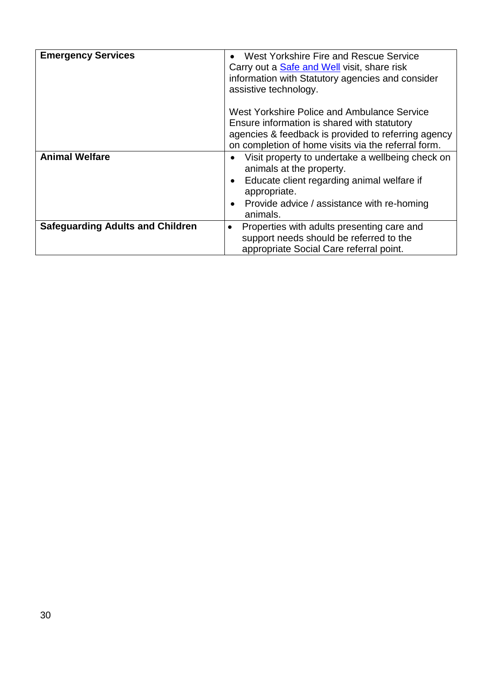| <b>Emergency Services</b>               | West Yorkshire Fire and Rescue Service<br>Carry out a Safe and Well visit, share risk<br>information with Statutory agencies and consider<br>assistive technology.                                                                          |
|-----------------------------------------|---------------------------------------------------------------------------------------------------------------------------------------------------------------------------------------------------------------------------------------------|
|                                         | West Yorkshire Police and Ambulance Service<br>Ensure information is shared with statutory<br>agencies & feedback is provided to referring agency<br>on completion of home visits via the referral form.                                    |
| <b>Animal Welfare</b>                   | Visit property to undertake a wellbeing check on<br>$\bullet$<br>animals at the property.<br>Educate client regarding animal welfare if<br>$\bullet$<br>appropriate.<br>Provide advice / assistance with re-homing<br>$\bullet$<br>animals. |
| <b>Safeguarding Adults and Children</b> | Properties with adults presenting care and<br>$\bullet$<br>support needs should be referred to the<br>appropriate Social Care referral point.                                                                                               |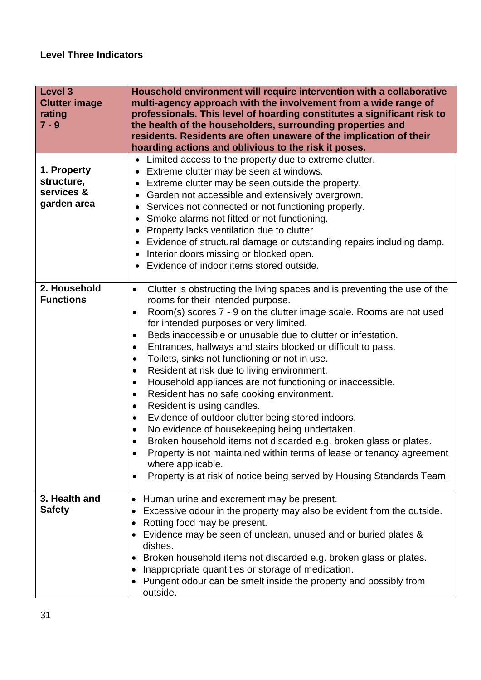<span id="page-30-0"></span>

| <b>Level 3</b><br><b>Clutter image</b><br>rating<br>$7 - 9$ | Household environment will require intervention with a collaborative<br>multi-agency approach with the involvement from a wide range of<br>professionals. This level of hoarding constitutes a significant risk to<br>the health of the householders, surrounding properties and<br>residents. Residents are often unaware of the implication of their<br>hoarding actions and oblivious to the risk it poses.                                                                                                                                                                                                                                                                                                                                                                                                                                                                                                                                                                                                                                                                        |  |
|-------------------------------------------------------------|---------------------------------------------------------------------------------------------------------------------------------------------------------------------------------------------------------------------------------------------------------------------------------------------------------------------------------------------------------------------------------------------------------------------------------------------------------------------------------------------------------------------------------------------------------------------------------------------------------------------------------------------------------------------------------------------------------------------------------------------------------------------------------------------------------------------------------------------------------------------------------------------------------------------------------------------------------------------------------------------------------------------------------------------------------------------------------------|--|
| 1. Property<br>structure,<br>services &<br>garden area      | Limited access to the property due to extreme clutter.<br>Extreme clutter may be seen at windows.<br>Extreme clutter may be seen outside the property.<br>Garden not accessible and extensively overgrown.<br>Services not connected or not functioning properly.<br>Smoke alarms not fitted or not functioning.<br>$\bullet$<br>Property lacks ventilation due to clutter<br>Evidence of structural damage or outstanding repairs including damp.<br>Interior doors missing or blocked open.<br>Evidence of indoor items stored outside.                                                                                                                                                                                                                                                                                                                                                                                                                                                                                                                                             |  |
| 2. Household<br><b>Functions</b>                            | Clutter is obstructing the living spaces and is preventing the use of the<br>$\bullet$<br>rooms for their intended purpose.<br>Room(s) scores 7 - 9 on the clutter image scale. Rooms are not used<br>$\bullet$<br>for intended purposes or very limited.<br>Beds inaccessible or unusable due to clutter or infestation.<br>$\bullet$<br>Entrances, hallways and stairs blocked or difficult to pass.<br>٠<br>Toilets, sinks not functioning or not in use.<br>$\bullet$<br>Resident at risk due to living environment.<br>$\bullet$<br>Household appliances are not functioning or inaccessible.<br>$\bullet$<br>Resident has no safe cooking environment.<br>٠<br>Resident is using candles.<br>٠<br>Evidence of outdoor clutter being stored indoors.<br>٠<br>No evidence of housekeeping being undertaken.<br>$\bullet$<br>Broken household items not discarded e.g. broken glass or plates.<br>$\bullet$<br>Property is not maintained within terms of lease or tenancy agreement<br>where applicable.<br>Property is at risk of notice being served by Housing Standards Team. |  |
| 3. Health and<br><b>Safety</b>                              | Human urine and excrement may be present.<br>$\bullet$<br>Excessive odour in the property may also be evident from the outside.<br>$\bullet$<br>Rotting food may be present.<br>$\bullet$<br>Evidence may be seen of unclean, unused and or buried plates &<br>٠<br>dishes.<br>Broken household items not discarded e.g. broken glass or plates.<br>$\bullet$<br>Inappropriate quantities or storage of medication.<br>$\bullet$<br>Pungent odour can be smelt inside the property and possibly from<br>$\bullet$<br>outside.                                                                                                                                                                                                                                                                                                                                                                                                                                                                                                                                                         |  |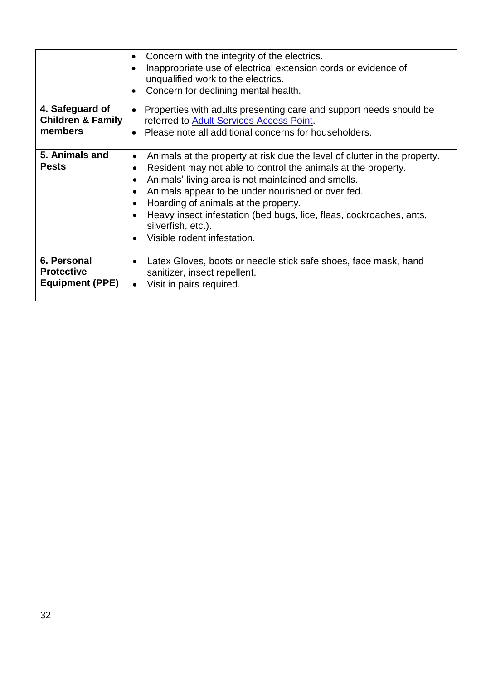|                                                            | Concern with the integrity of the electrics.<br>$\bullet$<br>Inappropriate use of electrical extension cords or evidence of<br>$\bullet$<br>unqualified work to the electrics.<br>Concern for declining mental health.<br>$\bullet$                                                                                                                                                                                                                                           |
|------------------------------------------------------------|-------------------------------------------------------------------------------------------------------------------------------------------------------------------------------------------------------------------------------------------------------------------------------------------------------------------------------------------------------------------------------------------------------------------------------------------------------------------------------|
| 4. Safeguard of<br><b>Children &amp; Family</b><br>members | Properties with adults presenting care and support needs should be<br>$\bullet$<br>referred to Adult Services Access Point.<br>Please note all additional concerns for householders.<br>$\bullet$                                                                                                                                                                                                                                                                             |
| 5. Animals and<br><b>Pests</b>                             | Animals at the property at risk due the level of clutter in the property.<br>$\bullet$<br>Resident may not able to control the animals at the property.<br>$\bullet$<br>Animals' living area is not maintained and smells.<br>$\bullet$<br>Animals appear to be under nourished or over fed.<br>Hoarding of animals at the property.<br>Heavy insect infestation (bed bugs, lice, fleas, cockroaches, ants,<br>silverfish, etc.).<br>Visible rodent infestation.<br>$\bullet$ |
| 6. Personal<br><b>Protective</b><br><b>Equipment (PPE)</b> | Latex Gloves, boots or needle stick safe shoes, face mask, hand<br>$\bullet$<br>sanitizer, insect repellent.<br>Visit in pairs required.<br>$\bullet$                                                                                                                                                                                                                                                                                                                         |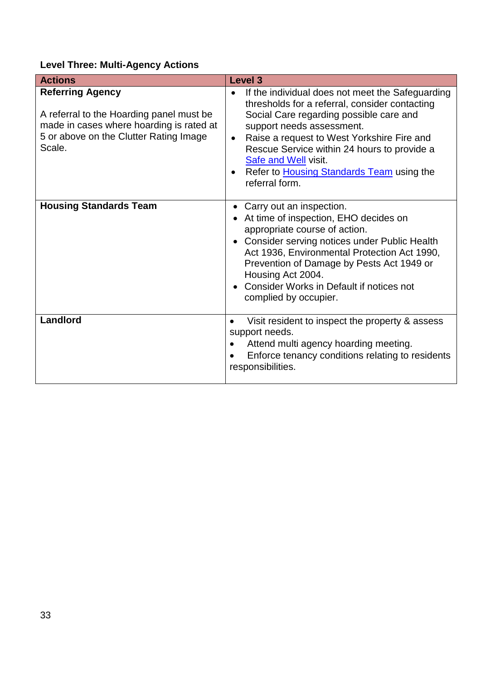# <span id="page-32-0"></span>**Level Three: Multi-Agency Actions**

| <b>Actions</b>                                                                                                                                                      | <b>Level 3</b>                                                                                                                                                                                                                                                                                                                                                                                         |
|---------------------------------------------------------------------------------------------------------------------------------------------------------------------|--------------------------------------------------------------------------------------------------------------------------------------------------------------------------------------------------------------------------------------------------------------------------------------------------------------------------------------------------------------------------------------------------------|
| <b>Referring Agency</b><br>A referral to the Hoarding panel must be<br>made in cases where hoarding is rated at<br>5 or above on the Clutter Rating Image<br>Scale. | If the individual does not meet the Safeguarding<br>$\bullet$<br>thresholds for a referral, consider contacting<br>Social Care regarding possible care and<br>support needs assessment.<br>Raise a request to West Yorkshire Fire and<br>$\bullet$<br>Rescue Service within 24 hours to provide a<br><b>Safe and Well visit.</b><br>Refer to <b>Housing Standards Team</b> using the<br>referral form. |
| <b>Housing Standards Team</b>                                                                                                                                       | Carry out an inspection.<br>٠<br>At time of inspection, EHO decides on<br>appropriate course of action.<br>• Consider serving notices under Public Health<br>Act 1936, Environmental Protection Act 1990,<br>Prevention of Damage by Pests Act 1949 or<br>Housing Act 2004.<br>Consider Works in Default if notices not<br>$\bullet$<br>complied by occupier.                                          |
| Landlord                                                                                                                                                            | Visit resident to inspect the property & assess<br>support needs.<br>Attend multi agency hoarding meeting.<br>Enforce tenancy conditions relating to residents<br>$\bullet$<br>responsibilities.                                                                                                                                                                                                       |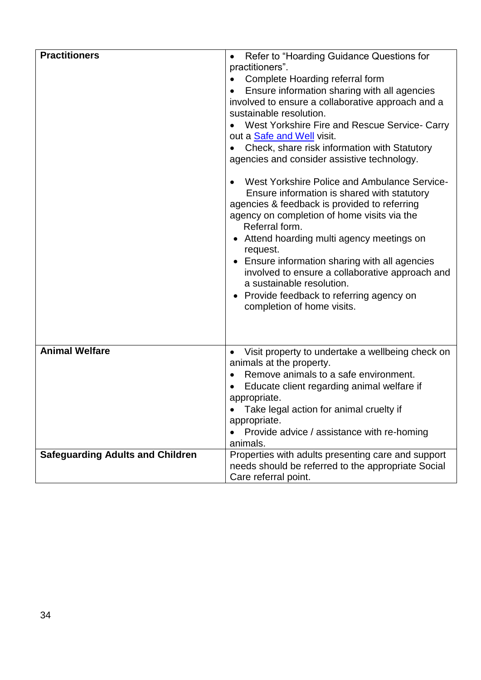| <b>Practitioners</b>                    | Refer to "Hoarding Guidance Questions for<br>practitioners".<br>Complete Hoarding referral form<br>Ensure information sharing with all agencies<br>involved to ensure a collaborative approach and a<br>sustainable resolution.<br>West Yorkshire Fire and Rescue Service- Carry<br>out a Safe and Well visit.<br>Check, share risk information with Statutory<br>agencies and consider assistive technology.<br>West Yorkshire Police and Ambulance Service-<br>Ensure information is shared with statutory<br>agencies & feedback is provided to referring<br>agency on completion of home visits via the<br>Referral form.<br>• Attend hoarding multi agency meetings on<br>request.<br>• Ensure information sharing with all agencies<br>involved to ensure a collaborative approach and<br>a sustainable resolution.<br>Provide feedback to referring agency on<br>completion of home visits. |
|-----------------------------------------|----------------------------------------------------------------------------------------------------------------------------------------------------------------------------------------------------------------------------------------------------------------------------------------------------------------------------------------------------------------------------------------------------------------------------------------------------------------------------------------------------------------------------------------------------------------------------------------------------------------------------------------------------------------------------------------------------------------------------------------------------------------------------------------------------------------------------------------------------------------------------------------------------|
| <b>Animal Welfare</b>                   | Visit property to undertake a wellbeing check on<br>animals at the property.<br>Remove animals to a safe environment.<br>Educate client regarding animal welfare if<br>appropriate.<br>Take legal action for animal cruelty if<br>appropriate.<br>Provide advice / assistance with re-homing                                                                                                                                                                                                                                                                                                                                                                                                                                                                                                                                                                                                       |
| <b>Safeguarding Adults and Children</b> | animals.<br>Properties with adults presenting care and support<br>needs should be referred to the appropriate Social<br>Care referral point.                                                                                                                                                                                                                                                                                                                                                                                                                                                                                                                                                                                                                                                                                                                                                       |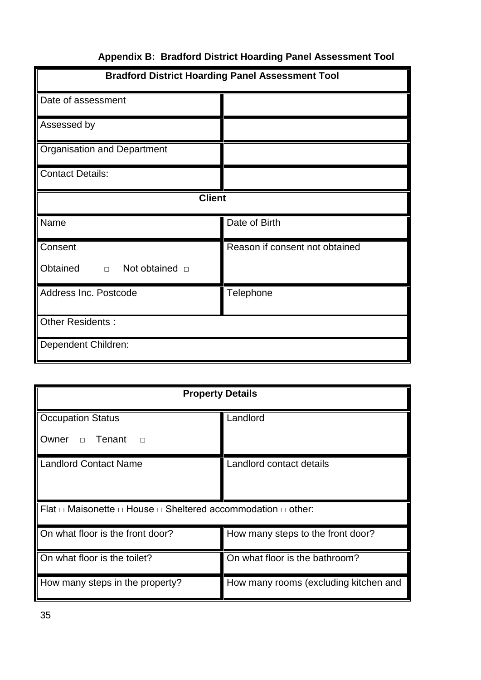<span id="page-34-0"></span>

| <b>Bradford District Hoarding Panel Assessment Tool</b> |                                |  |  |  |  |
|---------------------------------------------------------|--------------------------------|--|--|--|--|
| Date of assessment                                      |                                |  |  |  |  |
| Assessed by                                             |                                |  |  |  |  |
| <b>Organisation and Department</b>                      |                                |  |  |  |  |
| <b>Contact Details:</b>                                 |                                |  |  |  |  |
| <b>Client</b>                                           |                                |  |  |  |  |
| Name                                                    | Date of Birth                  |  |  |  |  |
| Consent                                                 | Reason if consent not obtained |  |  |  |  |
| Obtained<br>$\Box$ Not obtained $\Box$                  |                                |  |  |  |  |
| Address Inc. Postcode                                   | Telephone                      |  |  |  |  |
| Other Residents:                                        |                                |  |  |  |  |
| Dependent Children:                                     |                                |  |  |  |  |

# **Appendix B: Bradford District Hoarding Panel Assessment Tool**

| <b>Property Details</b>                                                          |                                       |  |  |  |  |
|----------------------------------------------------------------------------------|---------------------------------------|--|--|--|--|
| <b>Occupation Status</b>                                                         | Landlord                              |  |  |  |  |
| Tenant<br>Owner <b>D</b><br>$\Box$                                               |                                       |  |  |  |  |
| Landlord Contact Name                                                            | Landlord contact details              |  |  |  |  |
| Flat $\Box$ Maisonette $\Box$ House $\Box$ Sheltered accommodation $\Box$ other: |                                       |  |  |  |  |
| On what floor is the front door?                                                 | How many steps to the front door?     |  |  |  |  |
| On what floor is the toilet?                                                     | On what floor is the bathroom?        |  |  |  |  |
| How many steps in the property?                                                  | How many rooms (excluding kitchen and |  |  |  |  |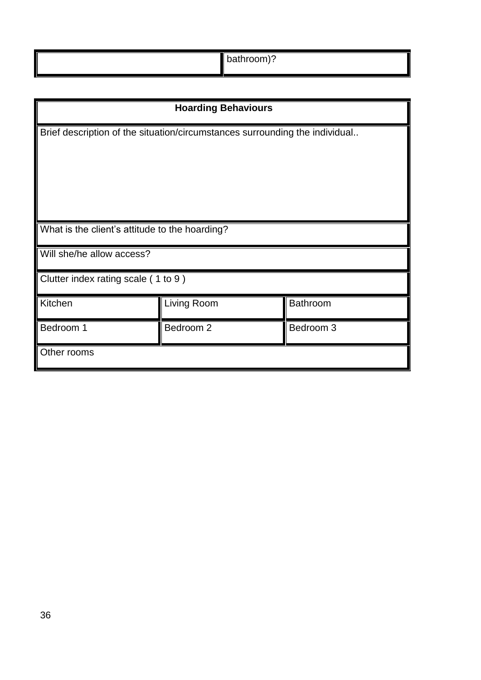| bathroom)? |  |
|------------|--|
|------------|--|

| <b>Hoarding Behaviours</b>                                                  |             |                 |  |  |  |
|-----------------------------------------------------------------------------|-------------|-----------------|--|--|--|
| Brief description of the situation/circumstances surrounding the individual |             |                 |  |  |  |
| What is the client's attitude to the hoarding?                              |             |                 |  |  |  |
| Will she/he allow access?                                                   |             |                 |  |  |  |
| Clutter index rating scale (1 to 9)                                         |             |                 |  |  |  |
| Kitchen                                                                     | Living Room | <b>Bathroom</b> |  |  |  |
| Bedroom 1                                                                   | Bedroom 2   | Bedroom 3       |  |  |  |
| Other rooms                                                                 |             |                 |  |  |  |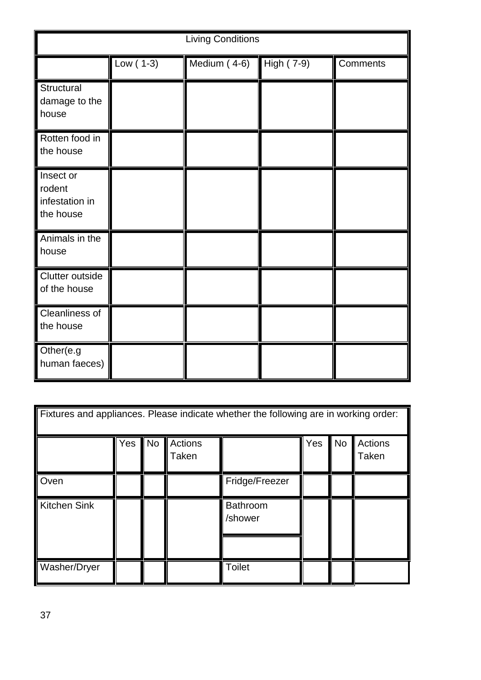| <b>Living Conditions</b>                           |             |              |            |          |  |  |
|----------------------------------------------------|-------------|--------------|------------|----------|--|--|
|                                                    | Low $(1-3)$ | Medium (4-6) | High (7-9) | Comments |  |  |
| Structural<br>damage to the<br>house               |             |              |            |          |  |  |
| Rotten food in<br>the house                        |             |              |            |          |  |  |
| Insect or<br>rodent<br>infestation in<br>the house |             |              |            |          |  |  |
| Animals in the<br>house                            |             |              |            |          |  |  |
| Clutter outside<br>of the house                    |             |              |            |          |  |  |
| Cleanliness of<br>the house                        |             |              |            |          |  |  |
| Other(e.g<br>human faeces)                         |             |              |            |          |  |  |

| Fixtures and appliances. Please indicate whether the following are in working order: |     |           |                  |                     |     |           |                         |
|--------------------------------------------------------------------------------------|-----|-----------|------------------|---------------------|-----|-----------|-------------------------|
|                                                                                      | Yes | <b>No</b> | Actions<br>Taken |                     | Yes | <b>No</b> | <b>Actions</b><br>Taken |
| Oven                                                                                 |     |           |                  | Fridge/Freezer      |     |           |                         |
| <b>Kitchen Sink</b>                                                                  |     |           |                  | Bathroom<br>/shower |     |           |                         |
| Washer/Dryer                                                                         |     |           |                  | <b>Toilet</b>       |     |           |                         |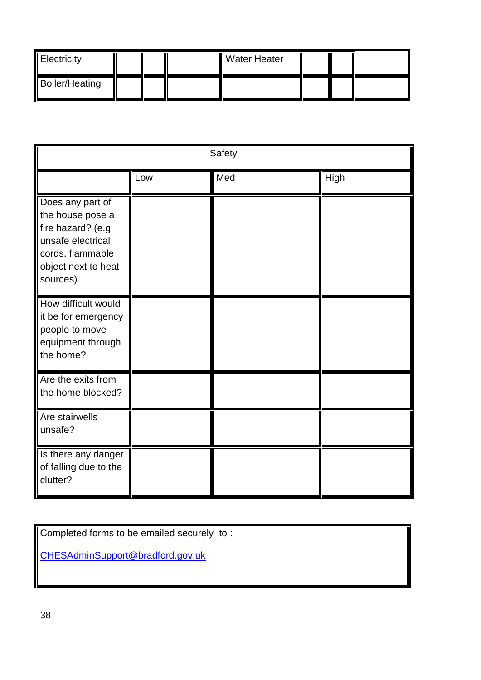| Electricity           |  | <b>Water Heater</b> |  |  |
|-----------------------|--|---------------------|--|--|
| <b>Boiler/Heating</b> |  |                     |  |  |

| Safety                                                                                                                                |     |     |      |  |  |  |
|---------------------------------------------------------------------------------------------------------------------------------------|-----|-----|------|--|--|--|
|                                                                                                                                       | Low | Med | High |  |  |  |
| Does any part of<br>the house pose a<br>fire hazard? (e.g<br>unsafe electrical<br>cords, flammable<br>object next to heat<br>sources) |     |     |      |  |  |  |
| How difficult would<br>it be for emergency<br>people to move<br>equipment through<br>the home?                                        |     |     |      |  |  |  |
| Are the exits from<br>the home blocked?                                                                                               |     |     |      |  |  |  |
| Are stairwells<br>unsafe?                                                                                                             |     |     |      |  |  |  |
| Is there any danger<br>of falling due to the<br>clutter?                                                                              |     |     |      |  |  |  |

Completed forms to be emailed securely to :

<span id="page-37-0"></span>[CHESAdminSupport@bradford.gov.uk](mailto:CHESAdminSupport@bradford.gov.uk)